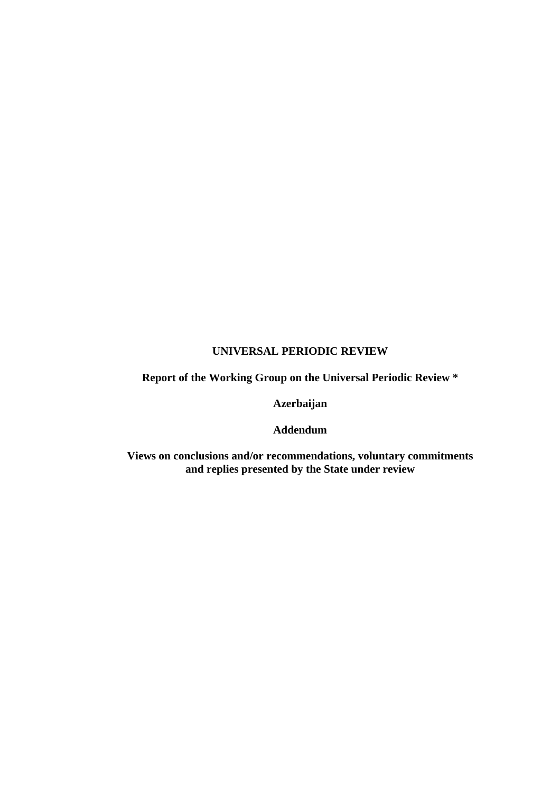# **UNIVERSAL PERIODIC REVIEW**

**Report of the Working Group on the Universal Periodic Review \*** 

**Azerbaijan** 

**Addendum** 

**Views on conclusions and/or recommendations, voluntary commitments and replies presented by the State under review**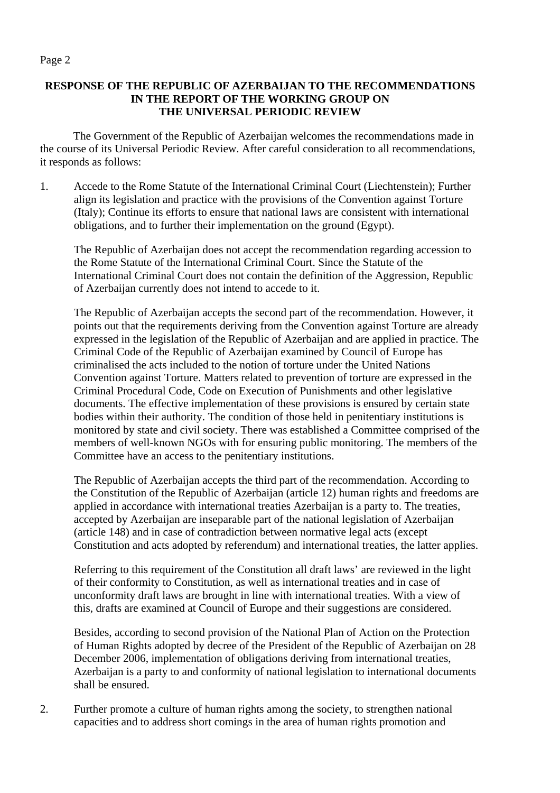## **RESPONSE OF THE REPUBLIC OF AZERBAIJAN TO THE RECOMMENDATIONS IN THE REPORT OF THE WORKING GROUP ON THE UNIVERSAL PERIODIC REVIEW**

 The Government of the Republic of Azerbaijan welcomes the recommendations made in the course of its Universal Periodic Review. After careful consideration to all recommendations, it responds as follows:

1. Accede to the Rome Statute of the International Criminal Court (Liechtenstein); Further align its legislation and practice with the provisions of the Convention against Torture (Italy); Continue its efforts to ensure that national laws are consistent with international obligations, and to further their implementation on the ground (Egypt).

 The Republic of Azerbaijan does not accept the recommendation regarding accession to the Rome Statute of the International Criminal Court. Since the Statute of the International Criminal Court does not contain the definition of the Aggression, Republic of Azerbaijan currently does not intend to accede to it.

 The Republic of Azerbaijan accepts the second part of the recommendation. However, it points out that the requirements deriving from the Convention against Torture are already expressed in the legislation of the Republic of Azerbaijan and are applied in practice. The Criminal Code of the Republic of Azerbaijan examined by Council of Europe has criminalised the acts included to the notion of torture under the United Nations Convention against Torture. Matters related to prevention of torture are expressed in the Criminal Procedural Code, Code on Execution of Punishments and other legislative documents. The effective implementation of these provisions is ensured by certain state bodies within their authority. The condition of those held in penitentiary institutions is monitored by state and civil society. There was established a Committee comprised of the members of well-known NGOs with for ensuring public monitoring. The members of the Committee have an access to the penitentiary institutions.

 The Republic of Azerbaijan accepts the third part of the recommendation. According to the Constitution of the Republic of Azerbaijan (article 12) human rights and freedoms are applied in accordance with international treaties Azerbaijan is a party to. The treaties, accepted by Azerbaijan are inseparable part of the national legislation of Azerbaijan (article 148) and in case of contradiction between normative legal acts (except Constitution and acts adopted by referendum) and international treaties, the latter applies.

 Referring to this requirement of the Constitution all draft laws' are reviewed in the light of their conformity to Constitution, as well as international treaties and in case of unconformity draft laws are brought in line with international treaties. With a view of this, drafts are examined at Council of Europe and their suggestions are considered.

 Besides, according to second provision of the National Plan of Action on the Protection of Human Rights adopted by decree of the President of the Republic of Azerbaijan on 28 December 2006, implementation of obligations deriving from international treaties, Azerbaijan is a party to and conformity of national legislation to international documents shall be ensured.

2. Further promote a culture of human rights among the society, to strengthen national capacities and to address short comings in the area of human rights promotion and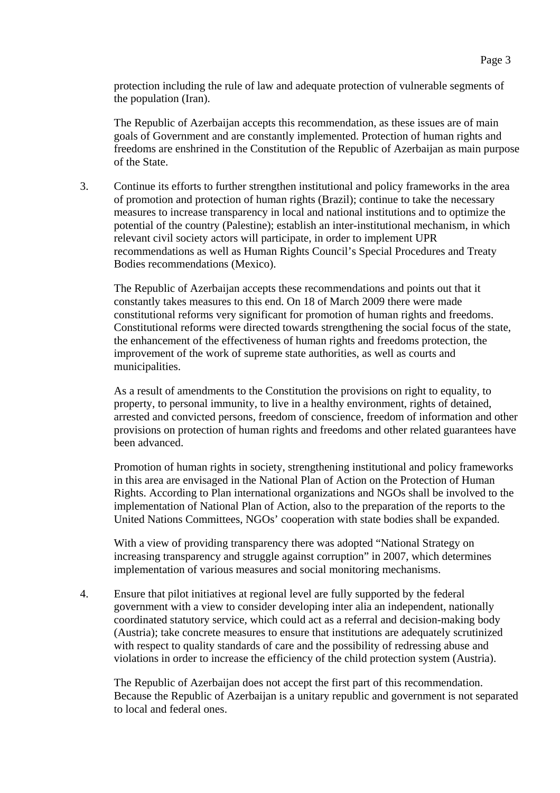protection including the rule of law and adequate protection of vulnerable segments of the population (Iran).

 The Republic of Azerbaijan accepts this recommendation, as these issues are of main goals of Government and are constantly implemented. Protection of human rights and freedoms are enshrined in the Constitution of the Republic of Azerbaijan as main purpose of the State.

3. Continue its efforts to further strengthen institutional and policy frameworks in the area of promotion and protection of human rights (Brazil); continue to take the necessary measures to increase transparency in local and national institutions and to optimize the potential of the country (Palestine); establish an inter-institutional mechanism, in which relevant civil society actors will participate, in order to implement UPR recommendations as well as Human Rights Council's Special Procedures and Treaty Bodies recommendations (Mexico).

 The Republic of Azerbaijan accepts these recommendations and points out that it constantly takes measures to this end. On 18 of March 2009 there were made constitutional reforms very significant for promotion of human rights and freedoms. Constitutional reforms were directed towards strengthening the social focus of the state, the enhancement of the effectiveness of human rights and freedoms protection, the improvement of the work of supreme state authorities, as well as courts and municipalities.

 As a result of amendments to the Constitution the provisions on right to equality, to property, to personal immunity, to live in a healthy environment, rights of detained, arrested and convicted persons, freedom of conscience, freedom of information and other provisions on protection of human rights and freedoms and other related guarantees have been advanced.

 Promotion of human rights in society, strengthening institutional and policy frameworks in this area are envisaged in the National Plan of Action on the Protection of Human Rights. According to Plan international organizations and NGOs shall be involved to the implementation of National Plan of Action, also to the preparation of the reports to the United Nations Committees, NGOs' cooperation with state bodies shall be expanded.

 With a view of providing transparency there was adopted "National Strategy on increasing transparency and struggle against corruption" in 2007, which determines implementation of various measures and social monitoring mechanisms.

4. Ensure that pilot initiatives at regional level are fully supported by the federal government with a view to consider developing inter alia an independent, nationally coordinated statutory service, which could act as a referral and decision-making body (Austria); take concrete measures to ensure that institutions are adequately scrutinized with respect to quality standards of care and the possibility of redressing abuse and violations in order to increase the efficiency of the child protection system (Austria).

 The Republic of Azerbaijan does not accept the first part of this recommendation. Because the Republic of Azerbaijan is a unitary republic and government is not separated to local and federal ones.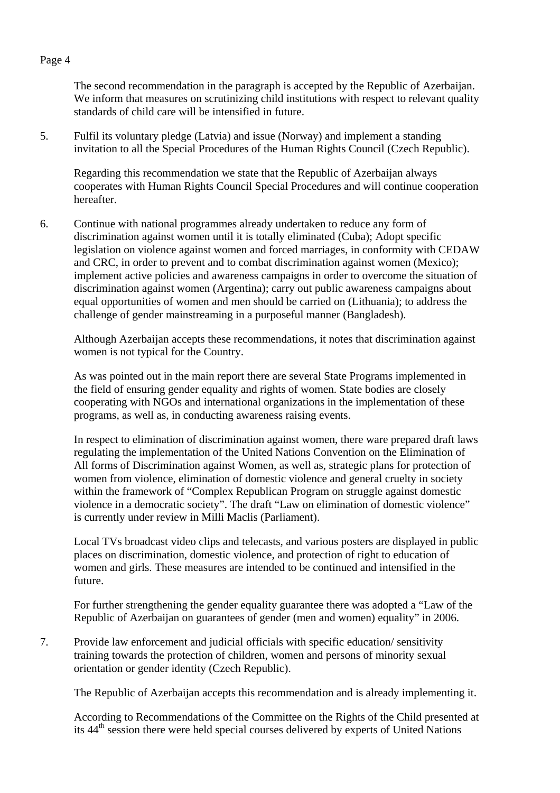The second recommendation in the paragraph is accepted by the Republic of Azerbaijan. We inform that measures on scrutinizing child institutions with respect to relevant quality standards of child care will be intensified in future.

5. Fulfil its voluntary pledge (Latvia) and issue (Norway) and implement a standing invitation to all the Special Procedures of the Human Rights Council (Czech Republic).

 Regarding this recommendation we state that the Republic of Azerbaijan always cooperates with Human Rights Council Special Procedures and will continue cooperation hereafter.

6. Continue with national programmes already undertaken to reduce any form of discrimination against women until it is totally eliminated (Cuba); Adopt specific legislation on violence against women and forced marriages, in conformity with CEDAW and CRC, in order to prevent and to combat discrimination against women (Mexico); implement active policies and awareness campaigns in order to overcome the situation of discrimination against women (Argentina); carry out public awareness campaigns about equal opportunities of women and men should be carried on (Lithuania); to address the challenge of gender mainstreaming in a purposeful manner (Bangladesh).

 Although Azerbaijan accepts these recommendations, it notes that discrimination against women is not typical for the Country.

 As was pointed out in the main report there are several State Programs implemented in the field of ensuring gender equality and rights of women. State bodies are closely cooperating with NGOs and international organizations in the implementation of these programs, as well as, in conducting awareness raising events.

 In respect to elimination of discrimination against women, there ware prepared draft laws regulating the implementation of the United Nations Convention on the Elimination of All forms of Discrimination against Women, as well as, strategic plans for protection of women from violence, elimination of domestic violence and general cruelty in society within the framework of "Complex Republican Program on struggle against domestic violence in a democratic society". The draft "Law on elimination of domestic violence" is currently under review in Milli Maclis (Parliament).

 Local TVs broadcast video clips and telecasts, and various posters are displayed in public places on discrimination, domestic violence, and protection of right to education of women and girls. These measures are intended to be continued and intensified in the future.

 For further strengthening the gender equality guarantee there was adopted a "Law of the Republic of Azerbaijan on guarantees of gender (men and women) equality" in 2006.

7. Provide law enforcement and judicial officials with specific education/ sensitivity training towards the protection of children, women and persons of minority sexual orientation or gender identity (Czech Republic).

The Republic of Azerbaijan accepts this recommendation and is already implementing it.

 According to Recommendations of the Committee on the Rights of the Child presented at its 44th session there were held special courses delivered by experts of United Nations

#### Page 4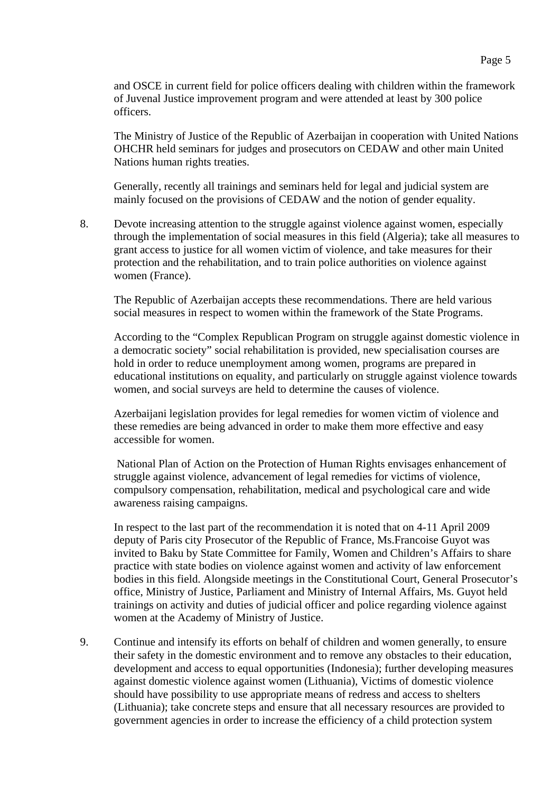The Ministry of Justice of the Republic of Azerbaijan in cooperation with United Nations OHCHR held seminars for judges and prosecutors on CEDAW and other main United Nations human rights treaties.

 Generally, recently all trainings and seminars held for legal and judicial system are mainly focused on the provisions of CEDAW and the notion of gender equality.

8. Devote increasing attention to the struggle against violence against women, especially through the implementation of social measures in this field (Algeria); take all measures to grant access to justice for all women victim of violence, and take measures for their protection and the rehabilitation, and to train police authorities on violence against women (France).

 The Republic of Azerbaijan accepts these recommendations. There are held various social measures in respect to women within the framework of the State Programs.

 According to the "Complex Republican Program on struggle against domestic violence in a democratic society" social rehabilitation is provided, new specialisation courses are hold in order to reduce unemployment among women, programs are prepared in educational institutions on equality, and particularly on struggle against violence towards women, and social surveys are held to determine the causes of violence.

 Azerbaijani legislation provides for legal remedies for women victim of violence and these remedies are being advanced in order to make them more effective and easy accessible for women.

 National Plan of Action on the Protection of Human Rights envisages enhancement of struggle against violence, advancement of legal remedies for victims of violence, compulsory compensation, rehabilitation, medical and psychological care and wide awareness raising campaigns.

 In respect to the last part of the recommendation it is noted that on 4-11 April 2009 deputy of Paris city Prosecutor of the Republic of France, Ms.Francoise Guyot was invited to Baku by State Committee for Family, Women and Children's Affairs to share practice with state bodies on violence against women and activity of law enforcement bodies in this field. Alongside meetings in the Constitutional Court, General Prosecutor's office, Ministry of Justice, Parliament and Ministry of Internal Affairs, Ms. Guyot held trainings on activity and duties of judicial officer and police regarding violence against women at the Academy of Ministry of Justice.

9. Continue and intensify its efforts on behalf of children and women generally, to ensure their safety in the domestic environment and to remove any obstacles to their education, development and access to equal opportunities (Indonesia); further developing measures against domestic violence against women (Lithuania), Victims of domestic violence should have possibility to use appropriate means of redress and access to shelters (Lithuania); take concrete steps and ensure that all necessary resources are provided to government agencies in order to increase the efficiency of a child protection system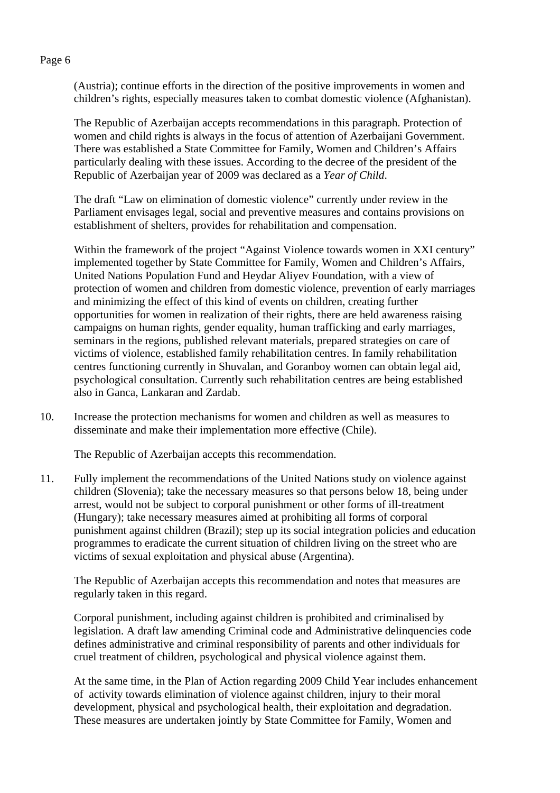(Austria); continue efforts in the direction of the positive improvements in women and children's rights, especially measures taken to combat domestic violence (Afghanistan).

 The Republic of Azerbaijan accepts recommendations in this paragraph. Protection of women and child rights is always in the focus of attention of Azerbaijani Government. There was established a State Committee for Family, Women and Children's Affairs particularly dealing with these issues. According to the decree of the president of the Republic of Azerbaijan year of 2009 was declared as a *Year of Child*.

 The draft "Law on elimination of domestic violence" currently under review in the Parliament envisages legal, social and preventive measures and contains provisions on establishment of shelters, provides for rehabilitation and compensation.

Within the framework of the project "Against Violence towards women in XXI century" implemented together by State Committee for Family, Women and Children's Affairs, United Nations Population Fund and Heydar Aliyev Foundation, with a view of protection of women and children from domestic violence, prevention of early marriages and minimizing the effect of this kind of events on children, creating further opportunities for women in realization of their rights, there are held awareness raising campaigns on human rights, gender equality, human trafficking and early marriages, seminars in the regions, published relevant materials, prepared strategies on care of victims of violence, established family rehabilitation centres. In family rehabilitation centres functioning currently in Shuvalan, and Goranboy women can obtain legal aid, psychological consultation. Currently such rehabilitation centres are being established also in Ganca, Lankaran and Zardab.

10. Increase the protection mechanisms for women and children as well as measures to disseminate and make their implementation more effective (Chile).

The Republic of Azerbaijan accepts this recommendation.

11. Fully implement the recommendations of the United Nations study on violence against children (Slovenia); take the necessary measures so that persons below 18, being under arrest, would not be subject to corporal punishment or other forms of ill-treatment (Hungary); take necessary measures aimed at prohibiting all forms of corporal punishment against children (Brazil); step up its social integration policies and education programmes to eradicate the current situation of children living on the street who are victims of sexual exploitation and physical abuse (Argentina).

 The Republic of Azerbaijan accepts this recommendation and notes that measures are regularly taken in this regard.

 Corporal punishment, including against children is prohibited and criminalised by legislation. A draft law amending Criminal code and Administrative delinquencies code defines administrative and criminal responsibility of parents and other individuals for cruel treatment of children, psychological and physical violence against them.

 At the same time, in the Plan of Action regarding 2009 Child Year includes enhancement of activity towards elimination of violence against children, injury to their moral development, physical and psychological health, their exploitation and degradation. These measures are undertaken jointly by State Committee for Family, Women and

#### Page 6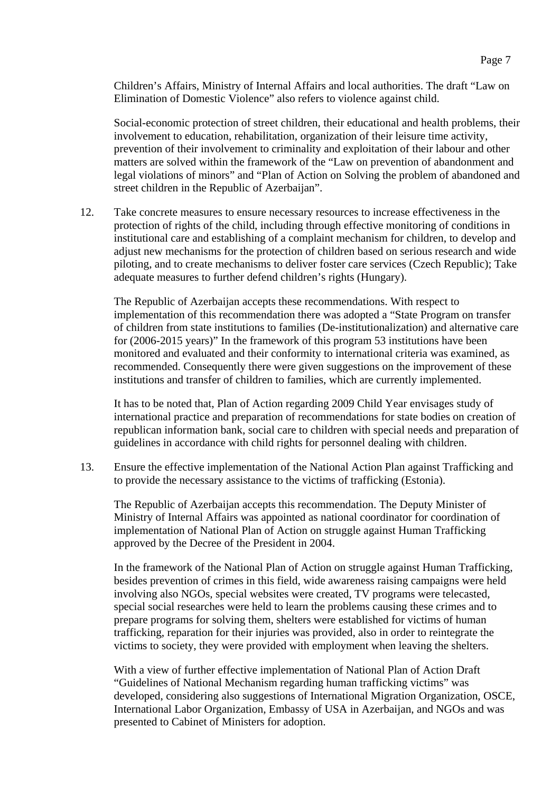Children's Affairs, Ministry of Internal Affairs and local authorities. The draft "Law on Elimination of Domestic Violence" also refers to violence against child.

 Social-economic protection of street children, their educational and health problems, their involvement to education, rehabilitation, organization of their leisure time activity, prevention of their involvement to criminality and exploitation of their labour and other matters are solved within the framework of the "Law on prevention of abandonment and legal violations of minors" and "Plan of Action on Solving the problem of abandoned and street children in the Republic of Azerbaijan".

12. Take concrete measures to ensure necessary resources to increase effectiveness in the protection of rights of the child, including through effective monitoring of conditions in institutional care and establishing of a complaint mechanism for children, to develop and adjust new mechanisms for the protection of children based on serious research and wide piloting, and to create mechanisms to deliver foster care services (Czech Republic); Take adequate measures to further defend children's rights (Hungary).

 The Republic of Azerbaijan accepts these recommendations. With respect to implementation of this recommendation there was adopted a "State Program on transfer of children from state institutions to families (De-institutionalization) and alternative care for (2006-2015 years)" In the framework of this program 53 institutions have been monitored and evaluated and their conformity to international criteria was examined, as recommended. Consequently there were given suggestions on the improvement of these institutions and transfer of children to families, which are currently implemented.

 It has to be noted that, Plan of Action regarding 2009 Child Year envisages study of international practice and preparation of recommendations for state bodies on creation of republican information bank, social care to children with special needs and preparation of guidelines in accordance with child rights for personnel dealing with children.

13. Ensure the effective implementation of the National Action Plan against Trafficking and to provide the necessary assistance to the victims of trafficking (Estonia).

 The Republic of Azerbaijan accepts this recommendation. The Deputy Minister of Ministry of Internal Affairs was appointed as national coordinator for coordination of implementation of National Plan of Action on struggle against Human Trafficking approved by the Decree of the President in 2004.

 In the framework of the National Plan of Action on struggle against Human Trafficking, besides prevention of crimes in this field, wide awareness raising campaigns were held involving also NGOs, special websites were created, TV programs were telecasted, special social researches were held to learn the problems causing these crimes and to prepare programs for solving them, shelters were established for victims of human trafficking, reparation for their injuries was provided, also in order to reintegrate the victims to society, they were provided with employment when leaving the shelters.

 With a view of further effective implementation of National Plan of Action Draft "Guidelines of National Mechanism regarding human trafficking victims" was developed, considering also suggestions of International Migration Organization, OSCE, International Labor Organization, Embassy of USA in Azerbaijan, and NGOs and was presented to Cabinet of Ministers for adoption.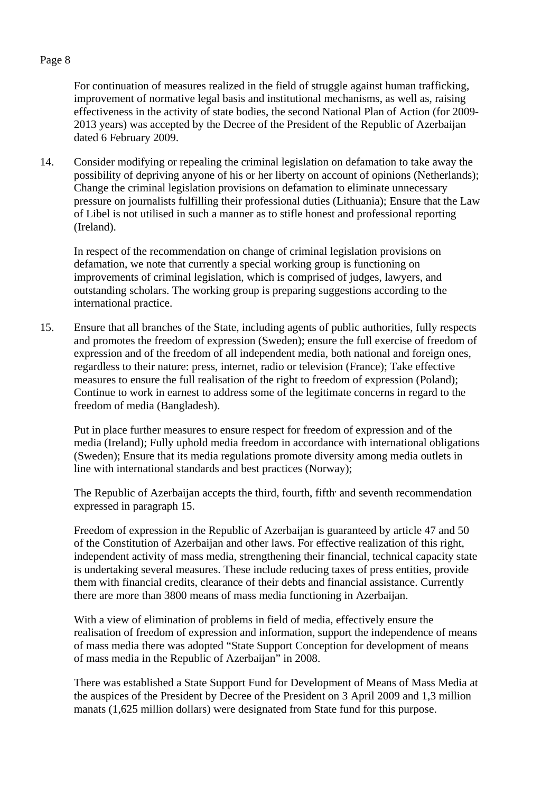For continuation of measures realized in the field of struggle against human trafficking, improvement of normative legal basis and institutional mechanisms, as well as, raising effectiveness in the activity of state bodies, the second National Plan of Action (for 2009- 2013 years) was accepted by the Decree of the President of the Republic of Azerbaijan dated 6 February 2009.

14. Consider modifying or repealing the criminal legislation on defamation to take away the possibility of depriving anyone of his or her liberty on account of opinions (Netherlands); Change the criminal legislation provisions on defamation to eliminate unnecessary pressure on journalists fulfilling their professional duties (Lithuania); Ensure that the Law of Libel is not utilised in such a manner as to stifle honest and professional reporting (Ireland).

 In respect of the recommendation on change of criminal legislation provisions on defamation, we note that currently a special working group is functioning on improvements of criminal legislation, which is comprised of judges, lawyers, and outstanding scholars. The working group is preparing suggestions according to the international practice.

15. Ensure that all branches of the State, including agents of public authorities, fully respects and promotes the freedom of expression (Sweden); ensure the full exercise of freedom of expression and of the freedom of all independent media, both national and foreign ones, regardless to their nature: press, internet, radio or television (France); Take effective measures to ensure the full realisation of the right to freedom of expression (Poland); Continue to work in earnest to address some of the legitimate concerns in regard to the freedom of media (Bangladesh).

 Put in place further measures to ensure respect for freedom of expression and of the media (Ireland); Fully uphold media freedom in accordance with international obligations (Sweden); Ensure that its media regulations promote diversity among media outlets in line with international standards and best practices (Norway);

The Republic of Azerbaijan accepts the third, fourth, fifth' and seventh recommendation expressed in paragraph 15.

 Freedom of expression in the Republic of Azerbaijan is guaranteed by article 47 and 50 of the Constitution of Azerbaijan and other laws. For effective realization of this right, independent activity of mass media, strengthening their financial, technical capacity state is undertaking several measures. These include reducing taxes of press entities, provide them with financial credits, clearance of their debts and financial assistance. Currently there are more than 3800 means of mass media functioning in Azerbaijan.

 With a view of elimination of problems in field of media, effectively ensure the realisation of freedom of expression and information, support the independence of means of mass media there was adopted "State Support Conception for development of means of mass media in the Republic of Azerbaijan" in 2008.

 There was established a State Support Fund for Development of Means of Mass Media at the auspices of the President by Decree of the President on 3 April 2009 and 1,3 million manats (1,625 million dollars) were designated from State fund for this purpose.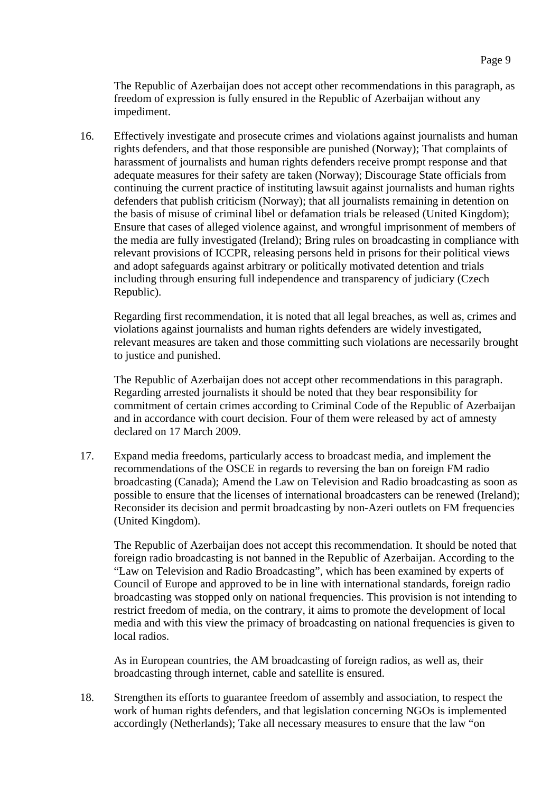The Republic of Azerbaijan does not accept other recommendations in this paragraph, as freedom of expression is fully ensured in the Republic of Azerbaijan without any impediment.

16. Effectively investigate and prosecute crimes and violations against journalists and human rights defenders, and that those responsible are punished (Norway); That complaints of harassment of journalists and human rights defenders receive prompt response and that adequate measures for their safety are taken (Norway); Discourage State officials from continuing the current practice of instituting lawsuit against journalists and human rights defenders that publish criticism (Norway); that all journalists remaining in detention on the basis of misuse of criminal libel or defamation trials be released (United Kingdom); Ensure that cases of alleged violence against, and wrongful imprisonment of members of the media are fully investigated (Ireland); Bring rules on broadcasting in compliance with relevant provisions of ICCPR, releasing persons held in prisons for their political views and adopt safeguards against arbitrary or politically motivated detention and trials including through ensuring full independence and transparency of judiciary (Czech Republic).

 Regarding first recommendation, it is noted that all legal breaches, as well as, crimes and violations against journalists and human rights defenders are widely investigated, relevant measures are taken and those committing such violations are necessarily brought to justice and punished.

 The Republic of Azerbaijan does not accept other recommendations in this paragraph. Regarding arrested journalists it should be noted that they bear responsibility for commitment of certain crimes according to Criminal Code of the Republic of Azerbaijan and in accordance with court decision. Four of them were released by act of amnesty declared on 17 March 2009.

17. Expand media freedoms, particularly access to broadcast media, and implement the recommendations of the OSCE in regards to reversing the ban on foreign FM radio broadcasting (Canada); Amend the Law on Television and Radio broadcasting as soon as possible to ensure that the licenses of international broadcasters can be renewed (Ireland); Reconsider its decision and permit broadcasting by non-Azeri outlets on FM frequencies (United Kingdom).

 The Republic of Azerbaijan does not accept this recommendation. It should be noted that foreign radio broadcasting is not banned in the Republic of Azerbaijan. According to the "Law on Television and Radio Broadcasting", which has been examined by experts of Council of Europe and approved to be in line with international standards, foreign radio broadcasting was stopped only on national frequencies. This provision is not intending to restrict freedom of media, on the contrary, it aims to promote the development of local media and with this view the primacy of broadcasting on national frequencies is given to local radios.

 As in European countries, the AM broadcasting of foreign radios, as well as, their broadcasting through internet, cable and satellite is ensured.

18. Strengthen its efforts to guarantee freedom of assembly and association, to respect the work of human rights defenders, and that legislation concerning NGOs is implemented accordingly (Netherlands); Take all necessary measures to ensure that the law "on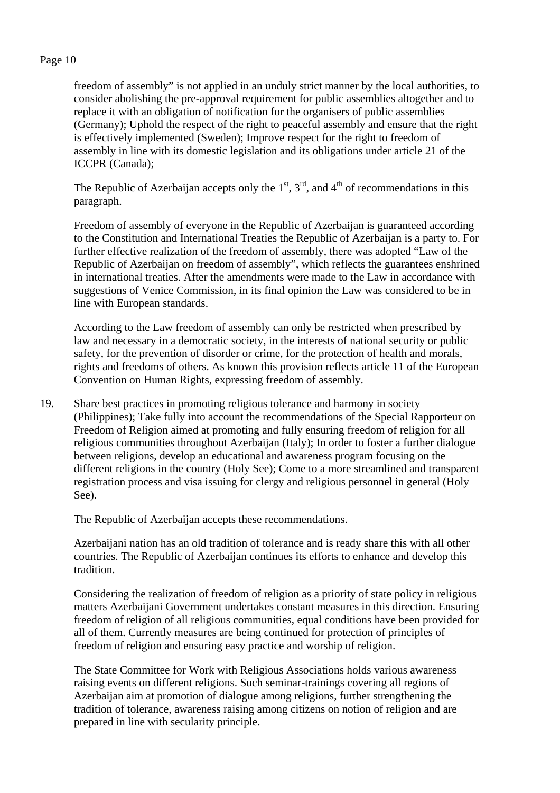freedom of assembly" is not applied in an unduly strict manner by the local authorities, to consider abolishing the pre-approval requirement for public assemblies altogether and to replace it with an obligation of notification for the organisers of public assemblies (Germany); Uphold the respect of the right to peaceful assembly and ensure that the right is effectively implemented (Sweden); Improve respect for the right to freedom of assembly in line with its domestic legislation and its obligations under article 21 of the ICCPR (Canada);

The Republic of Azerbaijan accepts only the  $1<sup>st</sup>$ ,  $3<sup>rd</sup>$ , and  $4<sup>th</sup>$  of recommendations in this paragraph.

 Freedom of assembly of everyone in the Republic of Azerbaijan is guaranteed according to the Constitution and International Treaties the Republic of Azerbaijan is a party to. For further effective realization of the freedom of assembly, there was adopted "Law of the Republic of Azerbaijan on freedom of assembly", which reflects the guarantees enshrined in international treaties. After the amendments were made to the Law in accordance with suggestions of Venice Commission, in its final opinion the Law was considered to be in line with European standards.

 According to the Law freedom of assembly can only be restricted when prescribed by law and necessary in a democratic society, in the interests of national security or public safety, for the prevention of disorder or crime, for the protection of health and morals, rights and freedoms of others. As known this provision reflects article 11 of the European Convention on Human Rights, expressing freedom of assembly.

19. Share best practices in promoting religious tolerance and harmony in society (Philippines); Take fully into account the recommendations of the Special Rapporteur on Freedom of Religion aimed at promoting and fully ensuring freedom of religion for all religious communities throughout Azerbaijan (Italy); In order to foster a further dialogue between religions, develop an educational and awareness program focusing on the different religions in the country (Holy See); Come to a more streamlined and transparent registration process and visa issuing for clergy and religious personnel in general (Holy See).

The Republic of Azerbaijan accepts these recommendations.

 Azerbaijani nation has an old tradition of tolerance and is ready share this with all other countries. The Republic of Azerbaijan continues its efforts to enhance and develop this tradition.

 Considering the realization of freedom of religion as a priority of state policy in religious matters Azerbaijani Government undertakes constant measures in this direction. Ensuring freedom of religion of all religious communities, equal conditions have been provided for all of them. Currently measures are being continued for protection of principles of freedom of religion and ensuring easy practice and worship of religion.

 The State Committee for Work with Religious Associations holds various awareness raising events on different religions. Such seminar-trainings covering all regions of Azerbaijan aim at promotion of dialogue among religions, further strengthening the tradition of tolerance, awareness raising among citizens on notion of religion and are prepared in line with secularity principle.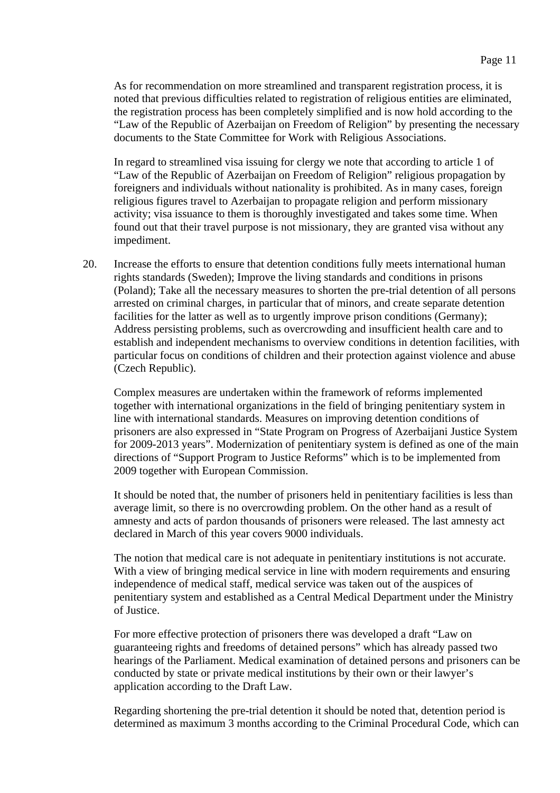As for recommendation on more streamlined and transparent registration process, it is noted that previous difficulties related to registration of religious entities are eliminated, the registration process has been completely simplified and is now hold according to the "Law of the Republic of Azerbaijan on Freedom of Religion" by presenting the necessary documents to the State Committee for Work with Religious Associations.

 In regard to streamlined visa issuing for clergy we note that according to article 1 of "Law of the Republic of Azerbaijan on Freedom of Religion" religious propagation by foreigners and individuals without nationality is prohibited. As in many cases, foreign religious figures travel to Azerbaijan to propagate religion and perform missionary activity; visa issuance to them is thoroughly investigated and takes some time. When found out that their travel purpose is not missionary, they are granted visa without any impediment.

 20. Increase the efforts to ensure that detention conditions fully meets international human rights standards (Sweden); Improve the living standards and conditions in prisons (Poland); Take all the necessary measures to shorten the pre-trial detention of all persons arrested on criminal charges, in particular that of minors, and create separate detention facilities for the latter as well as to urgently improve prison conditions (Germany); Address persisting problems, such as overcrowding and insufficient health care and to establish and independent mechanisms to overview conditions in detention facilities, with particular focus on conditions of children and their protection against violence and abuse (Czech Republic).

 Complex measures are undertaken within the framework of reforms implemented together with international organizations in the field of bringing penitentiary system in line with international standards. Measures on improving detention conditions of prisoners are also expressed in "State Program on Progress of Azerbaijani Justice System for 2009-2013 years". Modernization of penitentiary system is defined as one of the main directions of "Support Program to Justice Reforms" which is to be implemented from 2009 together with European Commission.

 It should be noted that, the number of prisoners held in penitentiary facilities is less than average limit, so there is no overcrowding problem. On the other hand as a result of amnesty and acts of pardon thousands of prisoners were released. The last amnesty act declared in March of this year covers 9000 individuals.

 The notion that medical care is not adequate in penitentiary institutions is not accurate. With a view of bringing medical service in line with modern requirements and ensuring independence of medical staff, medical service was taken out of the auspices of penitentiary system and established as a Central Medical Department under the Ministry of Justice.

 For more effective protection of prisoners there was developed a draft "Law on guaranteeing rights and freedoms of detained persons" which has already passed two hearings of the Parliament. Medical examination of detained persons and prisoners can be conducted by state or private medical institutions by their own or their lawyer's application according to the Draft Law.

 Regarding shortening the pre-trial detention it should be noted that, detention period is determined as maximum 3 months according to the Criminal Procedural Code, which can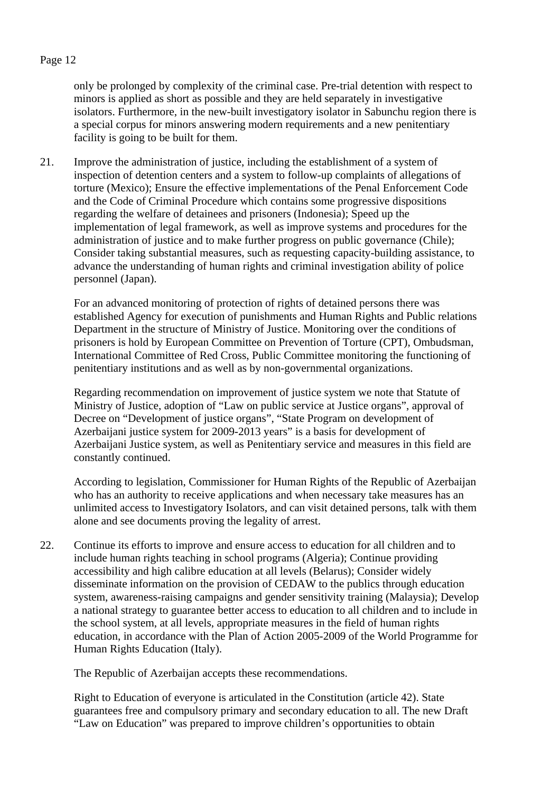only be prolonged by complexity of the criminal case. Pre-trial detention with respect to minors is applied as short as possible and they are held separately in investigative isolators. Furthermore, in the new-built investigatory isolator in Sabunchu region there is a special corpus for minors answering modern requirements and a new penitentiary facility is going to be built for them.

21. Improve the administration of justice, including the establishment of a system of inspection of detention centers and a system to follow-up complaints of allegations of torture (Mexico); Ensure the effective implementations of the Penal Enforcement Code and the Code of Criminal Procedure which contains some progressive dispositions regarding the welfare of detainees and prisoners (Indonesia); Speed up the implementation of legal framework, as well as improve systems and procedures for the administration of justice and to make further progress on public governance (Chile); Consider taking substantial measures, such as requesting capacity-building assistance, to advance the understanding of human rights and criminal investigation ability of police personnel (Japan).

 For an advanced monitoring of protection of rights of detained persons there was established Agency for execution of punishments and Human Rights and Public relations Department in the structure of Ministry of Justice. Monitoring over the conditions of prisoners is hold by European Committee on Prevention of Torture (CPT), Ombudsman, International Committee of Red Cross, Public Committee monitoring the functioning of penitentiary institutions and as well as by non-governmental organizations.

 Regarding recommendation on improvement of justice system we note that Statute of Ministry of Justice, adoption of "Law on public service at Justice organs", approval of Decree on "Development of justice organs", "State Program on development of Azerbaijani justice system for 2009-2013 years" is a basis for development of Azerbaijani Justice system, as well as Penitentiary service and measures in this field are constantly continued.

 According to legislation, Commissioner for Human Rights of the Republic of Azerbaijan who has an authority to receive applications and when necessary take measures has an unlimited access to Investigatory Isolators, and can visit detained persons, talk with them alone and see documents proving the legality of arrest.

22. Continue its efforts to improve and ensure access to education for all children and to include human rights teaching in school programs (Algeria); Continue providing accessibility and high calibre education at all levels (Belarus); Consider widely disseminate information on the provision of CEDAW to the publics through education system, awareness-raising campaigns and gender sensitivity training (Malaysia); Develop a national strategy to guarantee better access to education to all children and to include in the school system, at all levels, appropriate measures in the field of human rights education, in accordance with the Plan of Action 2005-2009 of the World Programme for Human Rights Education (Italy).

The Republic of Azerbaijan accepts these recommendations.

 Right to Education of everyone is articulated in the Constitution (article 42). State guarantees free and compulsory primary and secondary education to all. The new Draft "Law on Education" was prepared to improve children's opportunities to obtain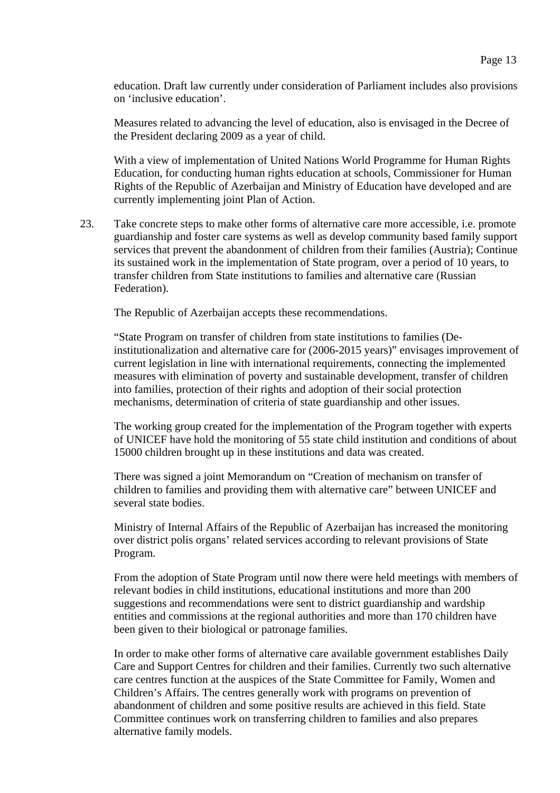education. Draft law currently under consideration of Parliament includes also provisions on 'inclusive education'.

 Measures related to advancing the level of education, also is envisaged in the Decree of the President declaring 2009 as a year of child.

 With a view of implementation of United Nations World Programme for Human Rights Education, for conducting human rights education at schools, Commissioner for Human Rights of the Republic of Azerbaijan and Ministry of Education have developed and are currently implementing joint Plan of Action.

23. Take concrete steps to make other forms of alternative care more accessible, i.e. promote guardianship and foster care systems as well as develop community based family support services that prevent the abandonment of children from their families (Austria); Continue its sustained work in the implementation of State program, over a period of 10 years, to transfer children from State institutions to families and alternative care (Russian Federation).

The Republic of Azerbaijan accepts these recommendations.

 "State Program on transfer of children from state institutions to families (Deinstitutionalization and alternative care for (2006-2015 years)" envisages improvement of current legislation in line with international requirements, connecting the implemented measures with elimination of poverty and sustainable development, transfer of children into families, protection of their rights and adoption of their social protection mechanisms, determination of criteria of state guardianship and other issues.

 The working group created for the implementation of the Program together with experts of UNICEF have hold the monitoring of 55 state child institution and conditions of about 15000 children brought up in these institutions and data was created.

 There was signed a joint Memorandum on "Creation of mechanism on transfer of children to families and providing them with alternative care" between UNICEF and several state bodies.

 Ministry of Internal Affairs of the Republic of Azerbaijan has increased the monitoring over district polis organs' related services according to relevant provisions of State Program.

 From the adoption of State Program until now there were held meetings with members of relevant bodies in child institutions, educational institutions and more than 200 suggestions and recommendations were sent to district guardianship and wardship entities and commissions at the regional authorities and more than 170 children have been given to their biological or patronage families.

 In order to make other forms of alternative care available government establishes Daily Care and Support Centres for children and their families. Currently two such alternative care centres function at the auspices of the State Committee for Family, Women and Children's Affairs. The centres generally work with programs on prevention of abandonment of children and some positive results are achieved in this field. State Committee continues work on transferring children to families and also prepares alternative family models.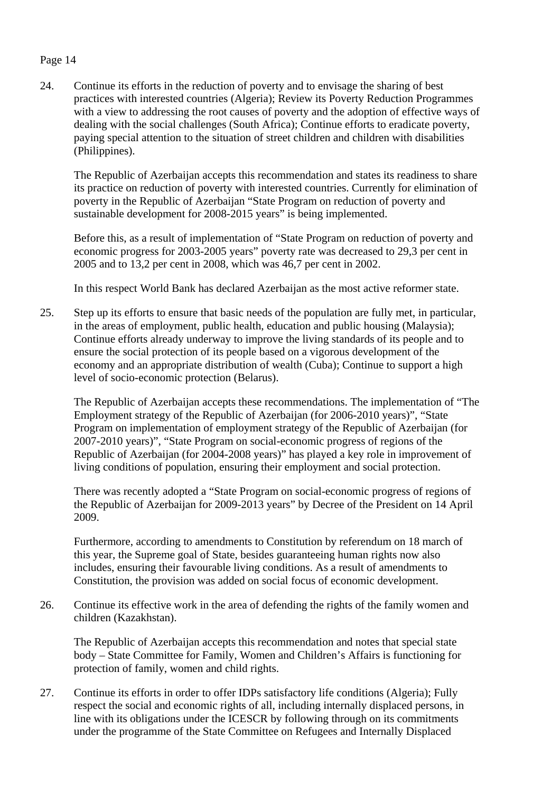24. Continue its efforts in the reduction of poverty and to envisage the sharing of best practices with interested countries (Algeria); Review its Poverty Reduction Programmes with a view to addressing the root causes of poverty and the adoption of effective ways of dealing with the social challenges (South Africa); Continue efforts to eradicate poverty, paying special attention to the situation of street children and children with disabilities (Philippines).

 The Republic of Azerbaijan accepts this recommendation and states its readiness to share its practice on reduction of poverty with interested countries. Currently for elimination of poverty in the Republic of Azerbaijan "State Program on reduction of poverty and sustainable development for 2008-2015 years" is being implemented.

 Before this, as a result of implementation of "State Program on reduction of poverty and economic progress for 2003-2005 years" poverty rate was decreased to 29,3 per cent in 2005 and to 13,2 per cent in 2008, which was 46,7 per cent in 2002.

In this respect World Bank has declared Azerbaijan as the most active reformer state.

25. Step up its efforts to ensure that basic needs of the population are fully met, in particular, in the areas of employment, public health, education and public housing (Malaysia); Continue efforts already underway to improve the living standards of its people and to ensure the social protection of its people based on a vigorous development of the economy and an appropriate distribution of wealth (Cuba); Continue to support a high level of socio-economic protection (Belarus).

 The Republic of Azerbaijan accepts these recommendations. The implementation of "The Employment strategy of the Republic of Azerbaijan (for 2006-2010 years)", "State Program on implementation of employment strategy of the Republic of Azerbaijan (for 2007-2010 years)", "State Program on social-economic progress of regions of the Republic of Azerbaijan (for 2004-2008 years)" has played a key role in improvement of living conditions of population, ensuring their employment and social protection.

 There was recently adopted a "State Program on social-economic progress of regions of the Republic of Azerbaijan for 2009-2013 years" by Decree of the President on 14 April 2009.

 Furthermore, according to amendments to Constitution by referendum on 18 march of this year, the Supreme goal of State, besides guaranteeing human rights now also includes, ensuring their favourable living conditions. As a result of amendments to Constitution, the provision was added on social focus of economic development.

26. Continue its effective work in the area of defending the rights of the family women and children (Kazakhstan).

 The Republic of Azerbaijan accepts this recommendation and notes that special state body – State Committee for Family, Women and Children's Affairs is functioning for protection of family, women and child rights.

27. Continue its efforts in order to offer IDPs satisfactory life conditions (Algeria); Fully respect the social and economic rights of all, including internally displaced persons, in line with its obligations under the ICESCR by following through on its commitments under the programme of the State Committee on Refugees and Internally Displaced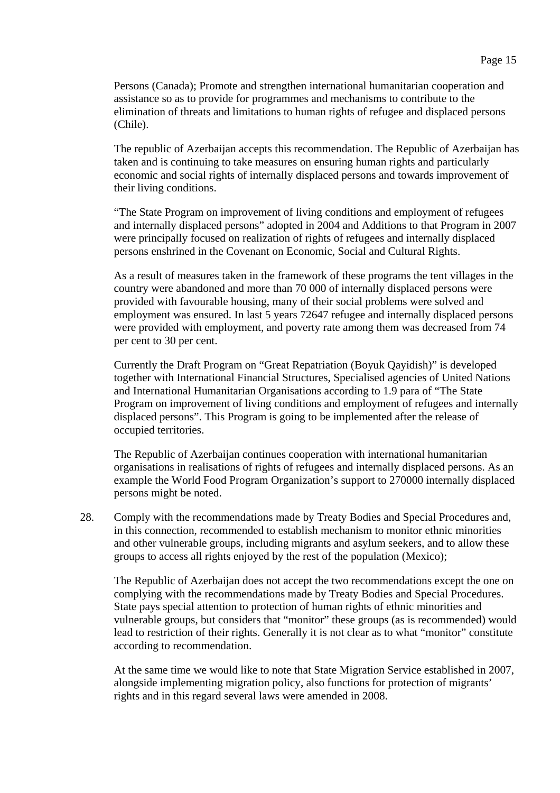Persons (Canada); Promote and strengthen international humanitarian cooperation and assistance so as to provide for programmes and mechanisms to contribute to the elimination of threats and limitations to human rights of refugee and displaced persons (Chile).

 The republic of Azerbaijan accepts this recommendation. The Republic of Azerbaijan has taken and is continuing to take measures on ensuring human rights and particularly economic and social rights of internally displaced persons and towards improvement of their living conditions.

 "The State Program on improvement of living conditions and employment of refugees and internally displaced persons" adopted in 2004 and Additions to that Program in 2007 were principally focused on realization of rights of refugees and internally displaced persons enshrined in the Covenant on Economic, Social and Cultural Rights.

 As a result of measures taken in the framework of these programs the tent villages in the country were abandoned and more than 70 000 of internally displaced persons were provided with favourable housing, many of their social problems were solved and employment was ensured. In last 5 years 72647 refugee and internally displaced persons were provided with employment, and poverty rate among them was decreased from 74 per cent to 30 per cent.

 Currently the Draft Program on "Great Repatriation (Boyuk Qayidish)" is developed together with International Financial Structures, Specialised agencies of United Nations and International Humanitarian Organisations according to 1.9 para of "The State Program on improvement of living conditions and employment of refugees and internally displaced persons". This Program is going to be implemented after the release of occupied territories.

 The Republic of Azerbaijan continues cooperation with international humanitarian organisations in realisations of rights of refugees and internally displaced persons. As an example the World Food Program Organization's support to 270000 internally displaced persons might be noted.

28. Comply with the recommendations made by Treaty Bodies and Special Procedures and, in this connection, recommended to establish mechanism to monitor ethnic minorities and other vulnerable groups, including migrants and asylum seekers, and to allow these groups to access all rights enjoyed by the rest of the population (Mexico);

 The Republic of Azerbaijan does not accept the two recommendations except the one on complying with the recommendations made by Treaty Bodies and Special Procedures. State pays special attention to protection of human rights of ethnic minorities and vulnerable groups, but considers that "monitor" these groups (as is recommended) would lead to restriction of their rights. Generally it is not clear as to what "monitor" constitute according to recommendation.

 At the same time we would like to note that State Migration Service established in 2007, alongside implementing migration policy, also functions for protection of migrants' rights and in this regard several laws were amended in 2008.